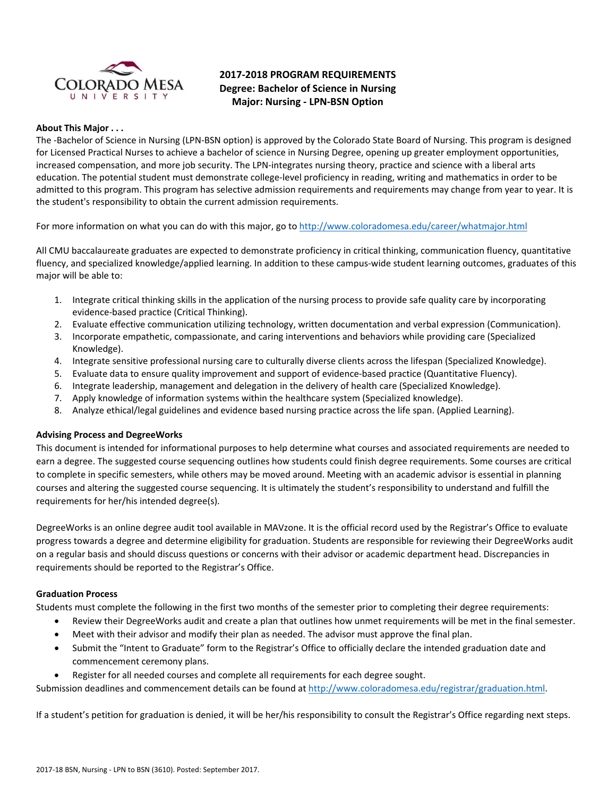

# **2017‐2018 PROGRAM REQUIREMENTS Degree: Bachelor of Science in Nursing Major: Nursing ‐ LPN‐BSN Option**

#### **About This Major . . .**

The ‐Bachelor of Science in Nursing (LPN‐BSN option) is approved by the Colorado State Board of Nursing. This program is designed for Licensed Practical Nurses to achieve a bachelor of science in Nursing Degree, opening up greater employment opportunities, increased compensation, and more job security. The LPN‐integrates nursing theory, practice and science with a liberal arts education. The potential student must demonstrate college-level proficiency in reading, writing and mathematics in order to be admitted to this program. This program has selective admission requirements and requirements may change from year to year. It is the student's responsibility to obtain the current admission requirements.

For more information on what you can do with this major, go to http://www.coloradomesa.edu/career/whatmajor.html

All CMU baccalaureate graduates are expected to demonstrate proficiency in critical thinking, communication fluency, quantitative fluency, and specialized knowledge/applied learning. In addition to these campus-wide student learning outcomes, graduates of this major will be able to:

- 1. Integrate critical thinking skills in the application of the nursing process to provide safe quality care by incorporating evidence‐based practice (Critical Thinking).
- 2. Evaluate effective communication utilizing technology, written documentation and verbal expression (Communication).
- 3. Incorporate empathetic, compassionate, and caring interventions and behaviors while providing care (Specialized Knowledge).
- 4. Integrate sensitive professional nursing care to culturally diverse clients across the lifespan (Specialized Knowledge).
- 5. Evaluate data to ensure quality improvement and support of evidence‐based practice (Quantitative Fluency).
- 6. Integrate leadership, management and delegation in the delivery of health care (Specialized Knowledge).
- 7. Apply knowledge of information systems within the healthcare system (Specialized knowledge).
- 8. Analyze ethical/legal guidelines and evidence based nursing practice across the life span. (Applied Learning).

#### **Advising Process and DegreeWorks**

This document is intended for informational purposes to help determine what courses and associated requirements are needed to earn a degree. The suggested course sequencing outlines how students could finish degree requirements. Some courses are critical to complete in specific semesters, while others may be moved around. Meeting with an academic advisor is essential in planning courses and altering the suggested course sequencing. It is ultimately the student's responsibility to understand and fulfill the requirements for her/his intended degree(s).

DegreeWorks is an online degree audit tool available in MAVzone. It is the official record used by the Registrar's Office to evaluate progress towards a degree and determine eligibility for graduation. Students are responsible for reviewing their DegreeWorks audit on a regular basis and should discuss questions or concerns with their advisor or academic department head. Discrepancies in requirements should be reported to the Registrar's Office.

#### **Graduation Process**

Students must complete the following in the first two months of the semester prior to completing their degree requirements:

- Review their DegreeWorks audit and create a plan that outlines how unmet requirements will be met in the final semester.
- Meet with their advisor and modify their plan as needed. The advisor must approve the final plan.
- Submit the "Intent to Graduate" form to the Registrar's Office to officially declare the intended graduation date and commencement ceremony plans.
- Register for all needed courses and complete all requirements for each degree sought.

Submission deadlines and commencement details can be found at http://www.coloradomesa.edu/registrar/graduation.html.

If a student's petition for graduation is denied, it will be her/his responsibility to consult the Registrar's Office regarding next steps.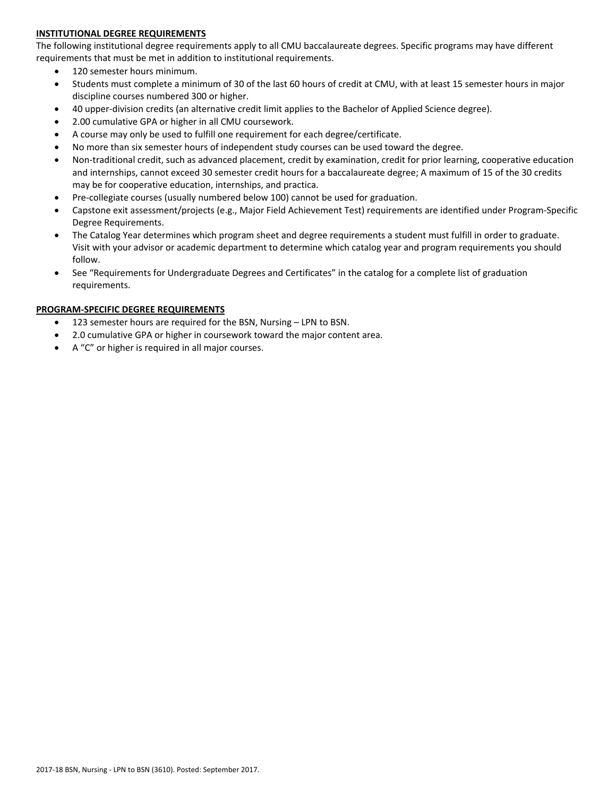# **INSTITUTIONAL DEGREE REQUIREMENTS**

The following institutional degree requirements apply to all CMU baccalaureate degrees. Specific programs may have different requirements that must be met in addition to institutional requirements.

- 120 semester hours minimum.
- Students must complete a minimum of 30 of the last 60 hours of credit at CMU, with at least 15 semester hours in major discipline courses numbered 300 or higher.
- 40 upper‐division credits (an alternative credit limit applies to the Bachelor of Applied Science degree).
- 2.00 cumulative GPA or higher in all CMU coursework.
- A course may only be used to fulfill one requirement for each degree/certificate.
- No more than six semester hours of independent study courses can be used toward the degree.
- Non-traditional credit, such as advanced placement, credit by examination, credit for prior learning, cooperative education and internships, cannot exceed 30 semester credit hours for a baccalaureate degree; A maximum of 15 of the 30 credits may be for cooperative education, internships, and practica.
- Pre-collegiate courses (usually numbered below 100) cannot be used for graduation.
- Capstone exit assessment/projects (e.g., Major Field Achievement Test) requirements are identified under Program‐Specific Degree Requirements.
- The Catalog Year determines which program sheet and degree requirements a student must fulfill in order to graduate. Visit with your advisor or academic department to determine which catalog year and program requirements you should follow.
- See "Requirements for Undergraduate Degrees and Certificates" in the catalog for a complete list of graduation requirements.

#### **PROGRAM‐SPECIFIC DEGREE REQUIREMENTS**

- 123 semester hours are required for the BSN, Nursing LPN to BSN.
- 2.0 cumulative GPA or higher in coursework toward the major content area.
- A "C" or higher is required in all major courses.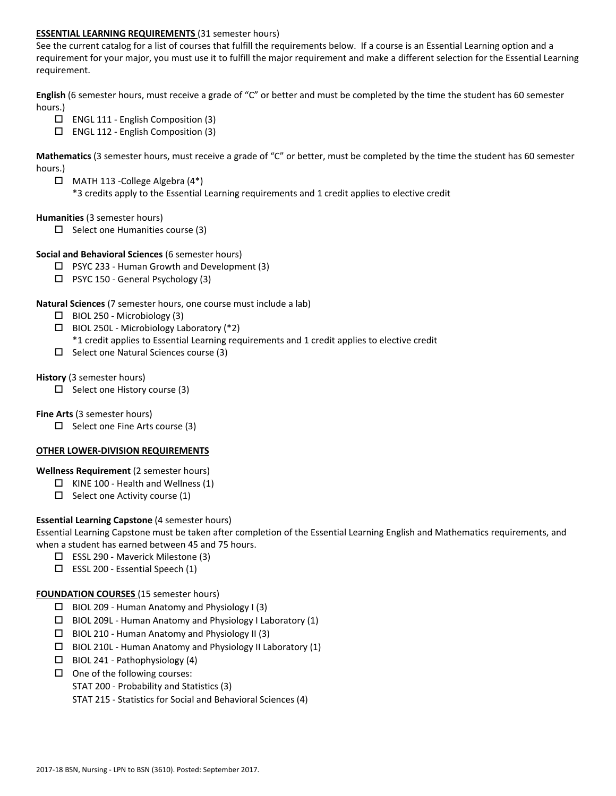# **ESSENTIAL LEARNING REQUIREMENTS** (31 semester hours)

See the current catalog for a list of courses that fulfill the requirements below. If a course is an Essential Learning option and a requirement for your major, you must use it to fulfill the major requirement and make a different selection for the Essential Learning requirement.

**English** (6 semester hours, must receive a grade of "C" or better and must be completed by the time the student has 60 semester hours.)

- ENGL 111 ‐ English Composition (3)
- ENGL 112 ‐ English Composition (3)

**Mathematics** (3 semester hours, must receive a grade of "C" or better, must be completed by the time the student has 60 semester hours.)

- $\Box$  MATH 113 College Algebra (4\*)
	- \*3 credits apply to the Essential Learning requirements and 1 credit applies to elective credit

#### **Humanities** (3 semester hours)

 $\Box$  Select one Humanities course (3)

#### **Social and Behavioral Sciences** (6 semester hours)

- $\Box$  PSYC 233 Human Growth and Development (3)
- PSYC 150 ‐ General Psychology (3)

#### **Natural Sciences** (7 semester hours, one course must include a lab)

- $\Box$  BIOL 250 Microbiology (3)
- $\Box$  BIOL 250L Microbiology Laboratory (\*2) \*1 credit applies to Essential Learning requirements and 1 credit applies to elective credit
- $\Box$  Select one Natural Sciences course (3)

#### **History** (3 semester hours)

 $\Box$  Select one History course (3)

# **Fine Arts** (3 semester hours)

 $\Box$  Select one Fine Arts course (3)

#### **OTHER LOWER‐DIVISION REQUIREMENTS**

#### **Wellness Requirement** (2 semester hours)

- $\Box$  KINE 100 Health and Wellness (1)
- $\Box$  Select one Activity course (1)

# **Essential Learning Capstone** (4 semester hours)

Essential Learning Capstone must be taken after completion of the Essential Learning English and Mathematics requirements, and when a student has earned between 45 and 75 hours.

- ESSL 290 ‐ Maverick Milestone (3)
- ESSL 200 ‐ Essential Speech (1)

#### **FOUNDATION COURSES** (15 semester hours)

- $\Box$  BIOL 209 Human Anatomy and Physiology I (3)
- $\Box$  BIOL 209L Human Anatomy and Physiology I Laboratory (1)
- $\Box$  BIOL 210 Human Anatomy and Physiology II (3)
- $\Box$  BIOL 210L Human Anatomy and Physiology II Laboratory (1)
- $\Box$  BIOL 241 Pathophysiology (4)
- $\Box$  One of the following courses:
	- STAT 200 ‐ Probability and Statistics (3)
	- STAT 215 ‐ Statistics for Social and Behavioral Sciences (4)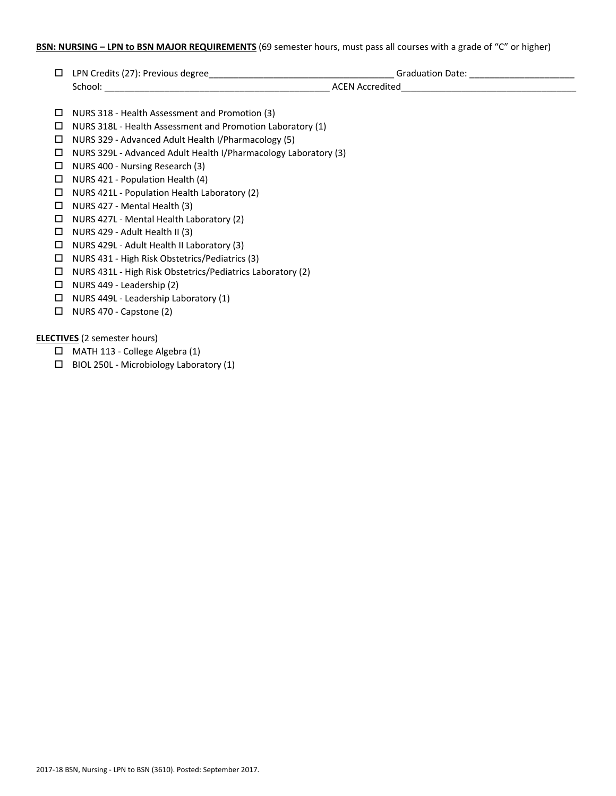# **BSN: NURSING – LPN to BSN MAJOR REQUIREMENTS** (69 semester hours, must pass all courses with a grade of "C" or higher)

| □                                   |                                                                 | Graduation Date: _________________________ |
|-------------------------------------|-----------------------------------------------------------------|--------------------------------------------|
|                                     |                                                                 |                                            |
| □                                   | NURS 318 - Health Assessment and Promotion (3)                  |                                            |
| □                                   | NURS 318L - Health Assessment and Promotion Laboratory (1)      |                                            |
| □                                   | NURS 329 - Advanced Adult Health I/Pharmacology (5)             |                                            |
| □                                   | NURS 329L - Advanced Adult Health I/Pharmacology Laboratory (3) |                                            |
| □                                   | NURS 400 - Nursing Research (3)                                 |                                            |
| □                                   | NURS 421 - Population Health (4)                                |                                            |
| □                                   | NURS 421L - Population Health Laboratory (2)                    |                                            |
| □                                   | NURS 427 - Mental Health (3)                                    |                                            |
| □                                   | NURS 427L - Mental Health Laboratory (2)                        |                                            |
| □                                   | NURS 429 - Adult Health II (3)                                  |                                            |
| □                                   | NURS 429L - Adult Health II Laboratory (3)                      |                                            |
| □                                   | NURS 431 - High Risk Obstetrics/Pediatrics (3)                  |                                            |
| □                                   | NURS 431L - High Risk Obstetrics/Pediatrics Laboratory (2)      |                                            |
| □                                   | NURS 449 - Leadership (2)                                       |                                            |
| □                                   | NURS 449L - Leadership Laboratory (1)                           |                                            |
| □                                   | NURS 470 - Capstone (2)                                         |                                            |
|                                     |                                                                 |                                            |
| <b>ELECTIVES</b> (2 semester hours) |                                                                 |                                            |
| $\Box$                              | MATH 113 - College Algebra (1)                                  |                                            |
| 0                                   | BIOL 250L - Microbiology Laboratory (1)                         |                                            |